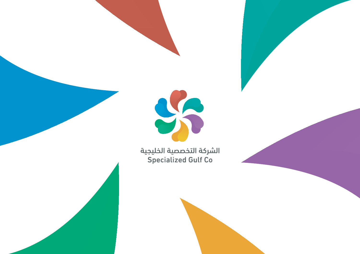

الشركة التخصصية الخليجية Specialized Gulf Co

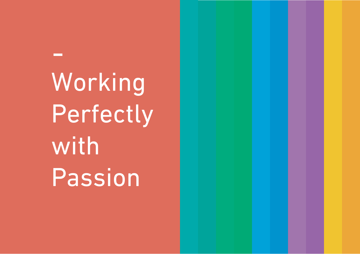Working Perfectly with Passion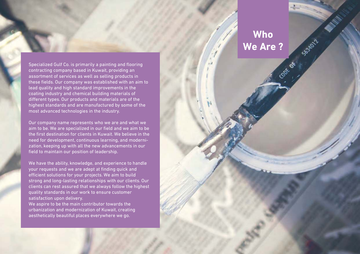Specialized Gulf Co. is primarily a painting and flooring contracting company based in Kuwait, providing an assortment of services as well as selling products in these fields. Our company was established with an aim to lead quality and high standard improvements in the coating industry and chemical building materials of different types. Our products and materials are of the highest standards and are manufactured by some of the most advanced technologies in the industry.

Our company name represents who we are and what we aim to be. We are specialized in our field and we aim to be the first destination for clients in Kuwait. We believe in the need for development, continuous learning, and modernization, keeping up with all the new advancements in our field to maintain our position of leadership.

We have the ability, knowledge, and experience to handle your requests and we are adept at finding quick and efficient solutions for your projects. We aim to build strong and long-lasting relationships with our clients. Our clients can rest assured that we always follow the highest quality standards in our work to ensure customer satisfaction upon delivery.

We aspire to be the main contributor towards the urbanization and modernization of Kuwait, creating aesthetically beautiful places everywhere we go.

# **Who We Are ?** Code of

SB3RD12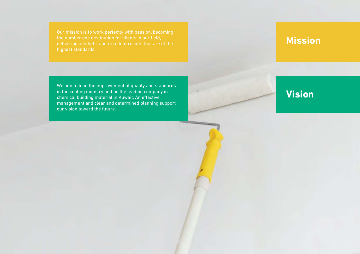#### **Mission**

We aim to lead the improvement of quality and standards in the coating industry and be the leading company in chemical building material in Kuwait. An effective management and clear and determined planning support our vision toward the future.

## **Vision**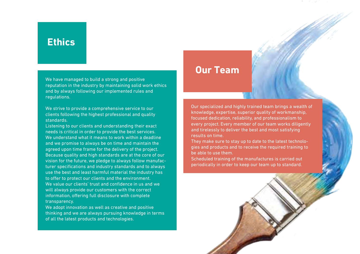#### **Ethics**

We have managed to build a strong and positive reputation in the industry by maintaining solid work ethics and by always following our implemented rules and regulations.

We strive to provide a comprehensive service to our clients following the highest professional and quality standards.

Listening to our clients and understanding their exact needs is critical in order to provide the best services. We understand what it means to work within a deadline and we promise to always be on time and maintain the agreed upon time frame for the delivery of the project. Because quality and high standards are at the core of our vision for the future, we pledge to always follow manufacturer specifications and industry standards and to always use the best and least harmful material the industry has to offer to protect our clients and the environment. We value our clients' trust and confidence in us and we will always provide our customers with the correct information, offering full disclosure with complete transparency.

We adopt innovation as well as creative and positive thinking and we are always pursuing knowledge in terms of all the latest products and technologies.

#### **Our Team**

Our specialized and highly trained team brings a wealth of knowledge, expertise, superior quality of workmanship, focused dedication, reliability, and professionalism to every project. Every member of our team works diligently and tirelessly to deliver the best and most satisfying results on time.

They make sure to stay up to date to the latest technologies and products and to receive the required training to be able to use them.

Scheduled training of the manufactures is carried out periodically in order to keep our team up to standard.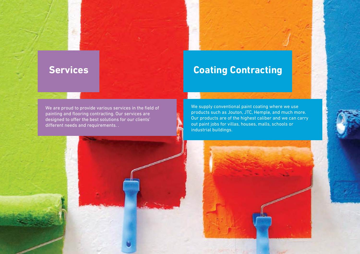## **Services Coating Contracting**

We are proud to provide various services in the field of painting and flooring contracting. Our services are designed to offer the best solutions for our clients' different needs and requirements. .

We supply conventional paint coating where we use products such as Jouton, JTC, Hemple, and much more. Our products are of the highest caliber and we can carry out paint jobs for villas, houses, malls, schools or industrial buildings.



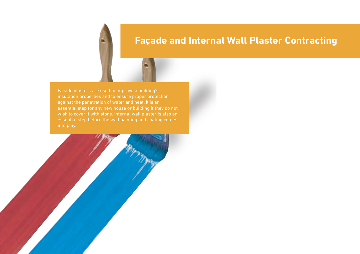#### **Façade and Internal Wall Plaster Contracting**

Facade plasters are used to improve a building's insulation properties and to ensure proper protection against the penetration of water and heat. It is an wish to cover it with stone. Internal wall plaster is also an into play.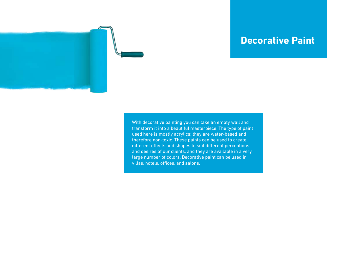

#### **Decorative Paint**

With decorative painting you can take an empty wall and transform it into a beautiful masterpiece. The type of paint used here is mostly acrylics; they are water-based and therefore non-toxic. These paints can be used to create different effects and shapes to suit different perceptions and desires of our clients, and they are available in a very large number of colors. Decorative paint can be used in villas, hotels, offices, and salons.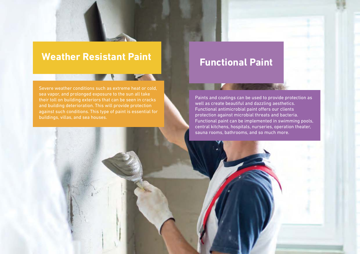#### **Weather Resistant Paint**

Severe weather conditions such as extreme heat or cold, sea vapor, and prolonged exposure to the sun all take their toll on building exteriors that can be seen in cracks against such conditions. This type of paint is essential for buildings, villas, and sea houses.

#### **Functional Paint**

Paints and coatings can be used to provide protection as well as create beautiful and dazzling aesthetics. Functional antimicrobial paint offers our clients protection against microbial threats and bacteria. Functional paint can be implemented in swimming pools, central kitchens, hospitals, nurseries, operation theater, sauna rooms, bathrooms, and so much more.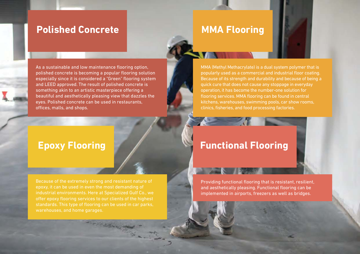#### **Polished Concrete**

#### **MMA Flooring**

As a sustainable and low maintenance flooring option, polished concrete is becoming a popular flooring solution especially since it is considered a "Green" flooring system and LEED approved. The result of polished concrete is something akin to an artistic masterpiece offering a beautiful and aesthetically pleasing view that dazzles the eyes. Polished concrete can be used in restaurants, offices, malls, and shops.

#### **Epoxy Flooring**

Because of the extremely strong and resistant nature of industrial environments. Here at Specialized Gulf Co., we standards. This type of flooring can be used in car parks, warehouses, and home garages.

**STANDARD** 

#### MMA (Methyl Methacrylate) is a dual system polymer that is popularly used as a commercial and industrial floor coating. Because of its strength and durability and because of being a quick cure that does not cause any stoppage in everyday operation, it has become the number-one solution for flooring services. MMA flooring can be found in central kitchens, warehouses, swimming pools, car show rooms, clinics, fisheries, and food processing factories.

#### **Functional Flooring**

Providing functional flooring that is resistant, resilient, and aesthetically pleasing. Functional flooring can be implemented in airports, freezers as well as bridges.